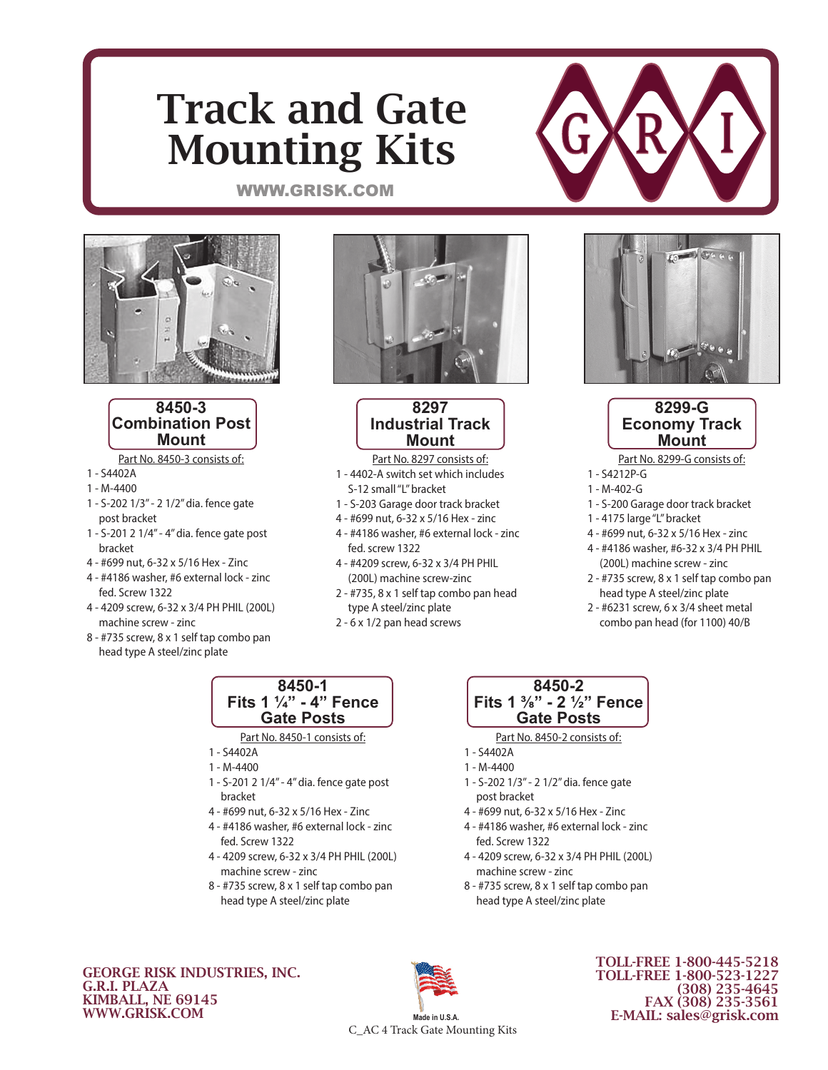# Track and Gate Mounting Kits



### WWW.GRISK.COM



### **8450-3 Combination Post Mount**

Part No. 8450-3 consists of:

- 1 S4402A
- 1 M-4400
- 1 S-202 1/3" 2 1/2" dia. fence gate post bracket
- 1 S-201 2 1/4" 4" dia. fence gate post bracket
- 4 #699 nut, 6-32 x 5/16 Hex Zinc
- 4 #4186 washer, #6 external lock zinc fed. Screw 1322
- 4 4209 screw, 6-32 x 3/4 PH PHIL (200L) machine screw - zinc
- 8 #735 screw, 8 x 1 self tap combo pan head type A steel/zinc plate



### **8297 Industrial Track Mount**

- Part No. 8297 consists of: 1 - 4402-A switch set which includes
	- S-12 small "L" bracket
- 1 S-203 Garage door track bracket
- 4 #699 nut, 6-32 x 5/16 Hex zinc
- 4 #4186 washer, #6 external lock zinc fed. screw 1322
- 4 #4209 screw, 6-32 x 3/4 PH PHIL (200L) machine screw-zinc
- 2 #735, 8 x 1 self tap combo pan head type A steel/zinc plate
- 2 6 x 1/2 pan head screws





Part No. 8299-G consists of:

- 1 S4212P-G
- 1 M-402-G
- 1 S-200 Garage door track bracket
- 1 4175 large "L" bracket
- 4 #699 nut, 6-32 x 5/16 Hex zinc
- 4 #4186 washer, #6-32 x 3/4 PH PHIL (200L) machine screw - zinc
- 2 #735 screw, 8 x 1 self tap combo pan head type A steel/zinc plate
- 2 #6231 screw, 6 x 3/4 sheet metal combo pan head (for 1100) 40/B

#### **8450-1 Fits 1 1/4" - 4" Fence Gate Posts**

#### Part No. 8450-1 consists of:

- 1 S4402A
- 1 M-4400
- 1 S-201 2 1/4" 4" dia. fence gate post bracket
- 4 #699 nut, 6-32 x 5/16 Hex Zinc
- 4 #4186 washer, #6 external lock zinc fed. Screw 1322
- 4 4209 screw, 6-32 x 3/4 PH PHIL (200L) machine screw - zinc
- 8 #735 screw, 8 x 1 self tap combo pan head type A steel/zinc plate

### **8450-2 Fits 1 3/8" - 2 1/2" Fence Gate Posts**

Part No. 8450-2 consists of:

- 1 S4402A
- 1 M-4400
- 1 S-202 1/3" 2 1/2" dia. fence gate post bracket
- 4 #699 nut, 6-32 x 5/16 Hex Zinc
- 4 #4186 washer, #6 external lock zinc fed. Screw 1322
- 4 4209 screw, 6-32 x 3/4 PH PHIL (200L) machine screw - zinc
- 8 #735 screw, 8 x 1 self tap combo pan head type A steel/zinc plate

GEORGE RISK INDUSTRIES, INC. G.R.I. PLAZA KIMBALL, NE 69145 WWW.GRISK.COM



C\_AC 4 Track Gate Mounting Kits

TOLL-FREE 1-800-445-5218 TOLL-FREE 1-800-523-1227 (308) 235-4645 FAX (308) 235-3561 E-MAIL: sales@grisk.com